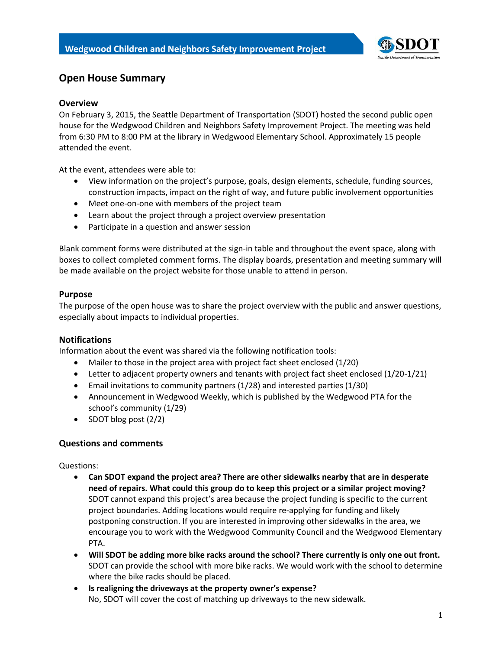

# **Open House Summary**

### **Overview**

On February 3, 2015, the Seattle Department of Transportation (SDOT) hosted the second public open house for the Wedgwood Children and Neighbors Safety Improvement Project. The meeting was held from 6:30 PM to 8:00 PM at the library in Wedgwood Elementary School. Approximately 15 people attended the event.

At the event, attendees were able to:

- View information on the project's purpose, goals, design elements, schedule, funding sources, construction impacts, impact on the right of way, and future public involvement opportunities
- Meet one-on-one with members of the project team
- Learn about the project through a project overview presentation
- Participate in a question and answer session

Blank comment forms were distributed at the sign-in table and throughout the event space, along with boxes to collect completed comment forms. The display boards, presentation and meeting summary will be made available on the project website for those unable to attend in person.

#### **Purpose**

The purpose of the open house was to share the project overview with the public and answer questions, especially about impacts to individual properties.

#### **Notifications**

Information about the event was shared via the following notification tools:

- Mailer to those in the project area with project fact sheet enclosed (1/20)
- Letter to adjacent property owners and tenants with project fact sheet enclosed (1/20-1/21)
- Email invitations to community partners (1/28) and interested parties (1/30)
- Announcement in Wedgwood Weekly, which is published by the Wedgwood PTA for the school's community (1/29)
- $\bullet$  SDOT blog post  $(2/2)$

## **Questions and comments**

Questions:

- **Can SDOT expand the project area? There are other sidewalks nearby that are in desperate need of repairs. What could this group do to keep this project or a similar project moving?** SDOT cannot expand this project's area because the project funding is specific to the current project boundaries. Adding locations would require re-applying for funding and likely postponing construction. If you are interested in improving other sidewalks in the area, we encourage you to work with the Wedgwood Community Council and the Wedgwood Elementary PTA.
- **Will SDOT be adding more bike racks around the school? There currently is only one out front.** SDOT can provide the school with more bike racks. We would work with the school to determine where the bike racks should be placed.
- **Is realigning the driveways at the property owner's expense?** No, SDOT will cover the cost of matching up driveways to the new sidewalk.